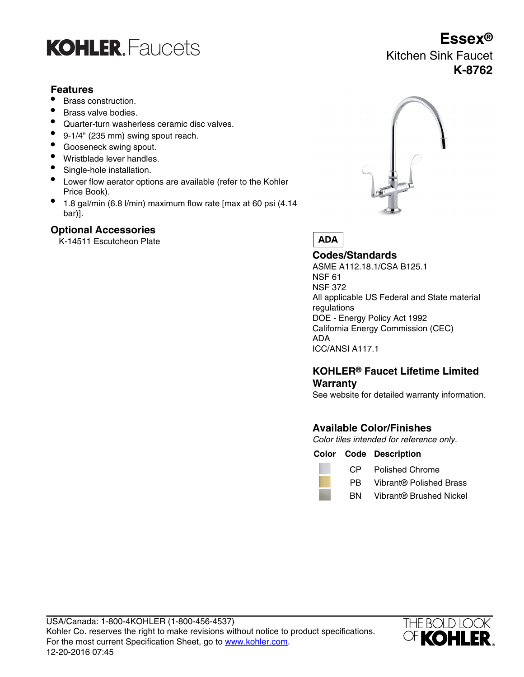

# **Features**

- Brass construction.
- Brass valve bodies.
- Quarter-turn washerless ceramic disc valves.
- 9-1/4" (235 mm) swing spout reach.
- Gooseneck swing spout.
- Wristblade lever handles.
- Single-hole installation.
- Lower flow aerator options are available (refer to the Kohler Price Book).
- 1.8 gal/min (6.8 l/min) maximum flow rate [max at 60 psi (4.14 bar)].

# **Optional Accessories**

K-14511 Escutcheon Plate



**ADA** 

**Codes/Standards** ASME A112.18.1/CSA B125.1 NSF 61 NSF 372 All applicable US Federal and State material regulations DOE - Energy Policy Act 1992 California Energy Commission (CEC) ADA ICC/ANSI A117.1

# **KOHLER® Faucet Lifetime Limited Warranty**

See website for detailed warranty information.

# **Available Color/Finishes**

Color tiles intended for reference only.

## **Color Code Description**



CP Polished Chrome

- PB Vibrant® Polished Brass
- BN Vibrant® Brushed Nickel



# **Essex®** Kitchen Sink Faucet **K-8762**